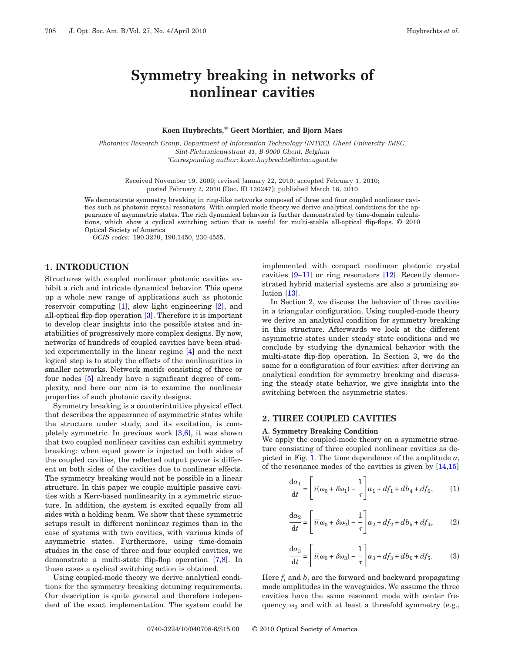# **Symmetry breaking in networks of nonlinear cavities**

### **Koen Huybrechts,\* Geert Morthier, and Bjorn Maes**

*Photonics Research Group, Department of Information Technology (INTEC), Ghent University–IMEC, Sint-Pietersnieuwstraat 41, B-9000 Ghent, Belgium* \**Corresponding author: koen.huybrechts@intec.ugent.be*

Received November 19, 2009; revised January 22, 2010; accepted February 1, 2010; posted February 2, 2010 (Doc. ID 120247); published March 18, 2010

We demonstrate symmetry breaking in ring-like networks composed of three and four coupled nonlinear cavities such as photonic crystal resonators. With coupled mode theory we derive analytical conditions for the appearance of asymmetric states. The rich dynamical behavior is further demonstrated by time-domain calculations, which show a cyclical switching action that is useful for multi-stable all-optical flip-flops.  $© 2010$ Optical Society of America

*OCIS codes:* 190.3270, 190.1450, 230.4555.

## **1. INTRODUCTION**

Structures with coupled nonlinear photonic cavities exhibit a rich and intricate dynamical behavior. This opens up a whole new range of applications such as photonic reservoir computing [\[1\]](#page-5-0), slow light engineering [\[2\]](#page-5-1), and all-optical flip-flop operation [\[3\]](#page-5-2). Therefore it is important to develop clear insights into the possible states and instabilities of progressively more complex designs. By now, networks of hundreds of coupled cavities have been studied experimentally in the linear regime [\[4\]](#page-5-3) and the next logical step is to study the effects of the nonlinearities in smaller networks. Network motifs consisting of three or four nodes [\[5\]](#page-5-4) already have a significant degree of complexity, and here our aim is to examine the nonlinear properties of such photonic cavity designs.

Symmetry breaking is a counterintuitive physical effect that describes the appearance of asymmetric states while the structure under study, and its excitation, is completely symmetric. In previous work [\[3](#page-5-2)[,6\]](#page-5-5), it was shown that two coupled nonlinear cavities can exhibit symmetry breaking: when equal power is injected on both sides of the coupled cavities, the reflected output power is different on both sides of the cavities due to nonlinear effects. The symmetry breaking would not be possible in a linear structure. In this paper we couple multiple passive cavities with a Kerr-based nonlinearity in a symmetric structure. In addition, the system is excited equally from all sides with a holding beam. We show that these symmetric setups result in different nonlinear regimes than in the case of systems with two cavities, with various kinds of asymmetric states. Furthermore, using time-domain studies in the case of three and four coupled cavities, we demonstrate a multi-state flip-flop operation [\[7,](#page-5-6)[8\]](#page-5-7). In these cases a cyclical switching action is obtained.

Using coupled-mode theory we derive analytical conditions for the symmetry breaking detuning requirements. Our description is quite general and therefore independent of the exact implementation. The system could be implemented with compact nonlinear photonic crystal cavities [\[9–](#page-5-8)[11\]](#page-5-9) or ring resonators [\[12\]](#page-5-10). Recently demonstrated hybrid material systems are also a promising solution [\[13\]](#page-5-11).

In Section 2, we discuss the behavior of three cavities in a triangular configuration. Using coupled-mode theory we derive an analytical condition for symmetry breaking in this structure. Afterwards we look at the different asymmetric states under steady state conditions and we conclude by studying the dynamical behavior with the multi-state flip-flop operation. In Section 3, we do the same for a configuration of four cavities: after deriving an analytical condition for symmetry breaking and discussing the steady state behavior, we give insights into the switching between the asymmetric states.

## **2. THREE COUPLED CAVITIES**

#### **A. Symmetry Breaking Condition**

We apply the coupled-mode theory on a symmetric structure consisting of three coupled nonlinear cavities as de-picted in Fig. [1.](#page-1-0) The time dependence of the amplitude  $a_i$ of the resonance modes of the cavities is given by [\[14](#page-5-12)[,15\]](#page-5-13)

<span id="page-0-0"></span>
$$
\frac{da_1}{dt} = \left[ i(\omega_0 + \delta \omega_1) - \frac{1}{\tau} \right] a_1 + df_1 + db_4 + df_6, \quad (1)
$$

$$
\frac{da_2}{dt} = \left[ i(\omega_0 + \delta \omega_2) - \frac{1}{\tau} \right] a_2 + df_2 + db_5 + df_4,
$$
 (2)

<span id="page-0-1"></span>
$$
\frac{da_3}{dt} = \left[ i(\omega_0 + \delta \omega_3) - \frac{1}{\tau} \right] a_3 + df_3 + db_6 + df_5.
$$
 (3)

Here  $f_i$  and  $b_i$  are the forward and backward propagating mode amplitudes in the waveguides. We assume the three cavities have the same resonant mode with center frequency  $\omega_0$  and with at least a threefold symmetry (e.g.,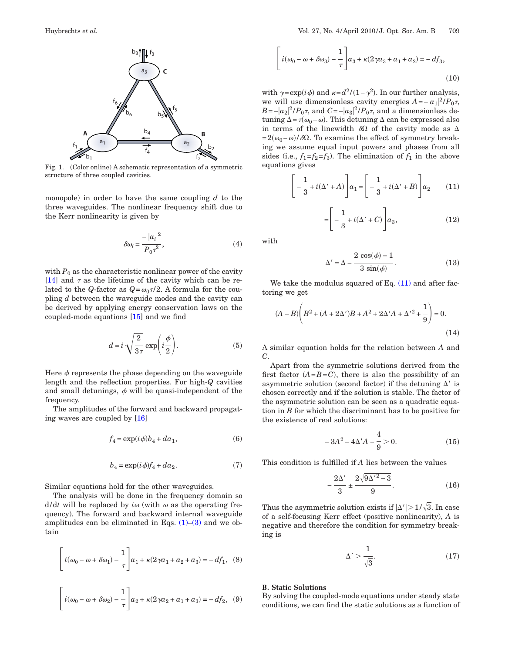<span id="page-1-0"></span>

Fig. 1. (Color online) A schematic representation of a symmetric structure of three coupled cavities.

monopole) in order to have the same coupling *d* to the three waveguides. The nonlinear frequency shift due to the Kerr nonlinearity is given by

$$
\delta\omega_i = \frac{-|a_i|^2}{P_0\tau^2},\tag{4}
$$

with  $P_0$  as the characteristic nonlinear power of the cavity [\[14\]](#page-5-12) and  $\tau$  as the lifetime of the cavity which can be related to the *Q*-factor as  $Q = \omega_0 \tau/2$ . A formula for the coupling *d* between the waveguide modes and the cavity can be derived by applying energy conservation laws on the coupled-mode equations [\[15\]](#page-5-13) and we find

$$
d = i \sqrt{\frac{2}{3\tau}} \exp\left(i\frac{\phi}{2}\right).
$$
 (5)

Here  $\phi$  represents the phase depending on the waveguide length and the reflection properties. For high-*Q* cavities and small detunings,  $\phi$  will be quasi-independent of the frequency.

<span id="page-1-3"></span>The amplitudes of the forward and backward propagating waves are coupled by [\[16\]](#page-5-14)

$$
f_4 = \exp(i\phi)b_4 + da_1,\tag{6}
$$

$$
b_4 = \exp(i\phi)f_4 + da_2.
$$
 (7)

<span id="page-1-4"></span>Similar equations hold for the other waveguides.

The analysis will be done in the frequency domain so  $d/dt$  will be replaced by  $i\omega$  (with  $\omega$  as the operating frequency). The forward and backward internal waveguide amplitudes can be eliminated in Eqs.  $(1)$ – $(3)$  and we obtain

$$
\[ i(\omega_0 - \omega + \delta \omega_1) - \frac{1}{\tau} \] a_1 + \kappa (2\gamma a_1 + a_2 + a_3) = -df_1, \quad (8)
$$

$$
\left[i(\omega_0 - \omega + \delta \omega_3) - \frac{1}{\tau}\right] a_3 + \kappa (2\gamma a_3 + a_1 + a_2) = -df_3,
$$
\n(10)

with  $\gamma = \exp(i\phi)$  and  $\kappa = d^2/(1-\gamma^2)$ . In our further analysis, we will use dimensionless cavity energies  $A = -|a_1|^2 / P_0 \tau$ , *B*=− $|a_2|^2$ /*P*<sub>0</sub> $\tau$ , and *C*=− $|a_3|^2$ /*P*<sub>0</sub> $\tau$ , and a dimensionless detuning  $\Delta = \tau(\omega_0 - \omega)$ . This detuning  $\Delta$  can be expressed also in terms of the linewidth  $\delta\Omega$  of the cavity mode as  $\Delta$  $=2(\omega_0-\omega)/\delta\Omega$ . To examine the effect of symmetry breaking we assume equal input powers and phases from all sides (i.e.,  $f_1 = f_2 = f_3$ ). The elimination of  $f_1$  in the above equations gives

<span id="page-1-1"></span>
$$
\left[-\frac{1}{3} + i(\Delta' + A)\right]a_1 = \left[-\frac{1}{3} + i(\Delta' + B)\right]a_2\tag{11}
$$

$$
= \left[ -\frac{1}{3} + i(\Delta' + C) \right] a_3,\tag{12}
$$

<span id="page-1-5"></span>with

$$
\Delta' = \Delta - \frac{2 \cos(\phi) - 1}{3 \sin(\phi)}.
$$
\n(13)

We take the modulus squared of Eq.  $(11)$  and after factoring we get

$$
(A - B)\left(B^2 + (A + 2\Delta')B + A^2 + 2\Delta'A + {\Delta'}^2 + \frac{1}{9}\right) = 0.
$$
\n(14)

A similar equation holds for the relation between *A* and *C*.

Apart from the symmetric solutions derived from the first factor  $(A=B=C)$ , there is also the possibility of an asymmetric solution (second factor) if the detuning  $\Delta'$  is chosen correctly and if the solution is stable. The factor of the asymmetric solution can be seen as a quadratic equation in *B* for which the discriminant has to be positive for the existence of real solutions:

$$
-3A^2 - 4\Delta' A - \frac{4}{9} > 0.
$$
 (15)

This condition is fulfilled if *A* lies between the values

$$
-\frac{2\Delta'}{3} \pm \frac{2\sqrt{9\Delta'^2 - 3}}{9}.
$$
 (16)

<span id="page-1-2"></span>Thus the asymmetric solution exists if  $|\Delta'| > 1/\sqrt{3}$ . In case of a self-focusing Kerr effect (positive nonlinearity), *A* is negative and therefore the condition for symmetry breaking is

$$
\Delta' > \frac{1}{\sqrt{3}}.\tag{17}
$$

## **B. Static Solutions**

By solving the coupled-mode equations under steady state conditions, we can find the static solutions as a function of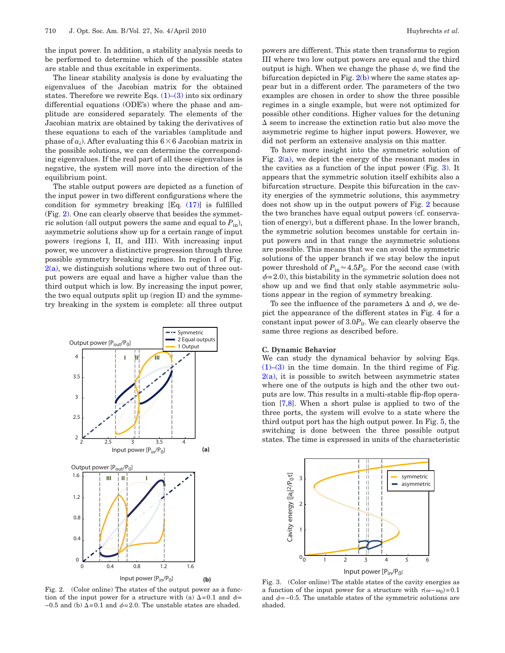the input power. In addition, a stability analysis needs to be performed to determine which of the possible states are stable and thus excitable in experiments.

The linear stability analysis is done by evaluating the eigenvalues of the Jacobian matrix for the obtained states. Therefore we rewrite Eqs.  $(1)$ – $(3)$  into six ordinary differential equations (ODE's) where the phase and amplitude are considered separately. The elements of the Jacobian matrix are obtained by taking the derivatives of these equations to each of the variables (amplitude and phase of  $a_i$ ). After evaluating this  $6\times 6$  Jacobian matrix in the possible solutions, we can determine the corresponding eigenvalues. If the real part of all these eigenvalues is negative, the system will move into the direction of the equilibrium point.

The stable output powers are depicted as a function of the input power in two different configurations where the condition for symmetry breaking [Eq. [\(17\)\]](#page-1-2) is fulfilled (Fig. [2\)](#page-2-0). One can clearly observe that besides the symmetric solution (all output powers the same and equal to  $P_{\text{in}}$ ), asymmetric solutions show up for a certain range of input powers (regions I, II, and III). With increasing input power, we uncover a distinctive progression through three possible symmetry breaking regimes. In region I of Fig.  $2(a)$ , we distinguish solutions where two out of three output powers are equal and have a higher value than the third output which is low. By increasing the input power, the two equal outputs split up (region II) and the symmetry breaking in the system is complete: all three output

<span id="page-2-0"></span>

Fig. 2. (Color online) The states of the output power as a function of the input power for a structure with (a)  $\Delta = 0.1$  and  $\phi =$  $-0.5$  and (b)  $\Delta = 0.1$  and  $\phi = 2.0$ . The unstable states are shaded.

powers are different. This state then transforms to region III where two low output powers are equal and the third output is high. When we change the phase  $\phi$ , we find the bifurcation depicted in Fig.  $2(b)$  where the same states appear but in a different order. The parameters of the two examples are chosen in order to show the three possible regimes in a single example, but were not optimized for possible other conditions. Higher values for the detuning  $\Delta$  seem to increase the extinction ratio but also move the asymmetric regime to higher input powers. However, we did not perform an extensive analysis on this matter.

To have more insight into the symmetric solution of Fig.  $2(a)$ , we depict the energy of the resonant modes in the cavities as a function of the input power (Fig. [3\)](#page-2-1). It appears that the symmetric solution itself exhibits also a bifurcation structure. Despite this bifurcation in the cavity energies of the symmetric solutions, this asymmetry does not show up in the output powers of Fig. [2](#page-2-0) because the two branches have equal output powers (cf. conservation of energy), but a different phase. In the lower branch, the symmetric solution becomes unstable for certain input powers and in that range the asymmetric solutions are possible. This means that we can avoid the symmetric solutions of the upper branch if we stay below the input power threshold of  $P_{\text{in}} \approx 4.5 P_0$ . For the second case (with  $\phi$ =2.0), this bistability in the symmetric solution does not show up and we find that only stable asymmetric solutions appear in the region of symmetry breaking.

To see the influence of the parameters  $\Delta$  and  $\phi$ , we depict the appearance of the different states in Fig. [4](#page-3-0) for a constant input power of  $3.0P_0$ . We can clearly observe the same three regions as described before.

#### **C. Dynamic Behavior**

We can study the dynamical behavior by solving Eqs.  $(1)$ – $(3)$  in the time domain. In the third regime of Fig.  $2(a)$ , it is possible to switch between asymmetric states where one of the outputs is high and the other two outputs are low. This results in a multi-stable flip-flop operation [\[7,](#page-5-6)[8\]](#page-5-7). When a short pulse is applied to two of the three ports, the system will evolve to a state where the third output port has the high output power. In Fig. [5,](#page-3-1) the switching is done between the three possible output states. The time is expressed in units of the characteristic

<span id="page-2-1"></span>

Fig. 3. (Color online) The stable states of the cavity energies as a function of the input power for a structure with  $\tau(\omega - \omega_0) = 0.1$ and  $\phi$ =−0.5. The unstable states of the symmetric solutions are shaded.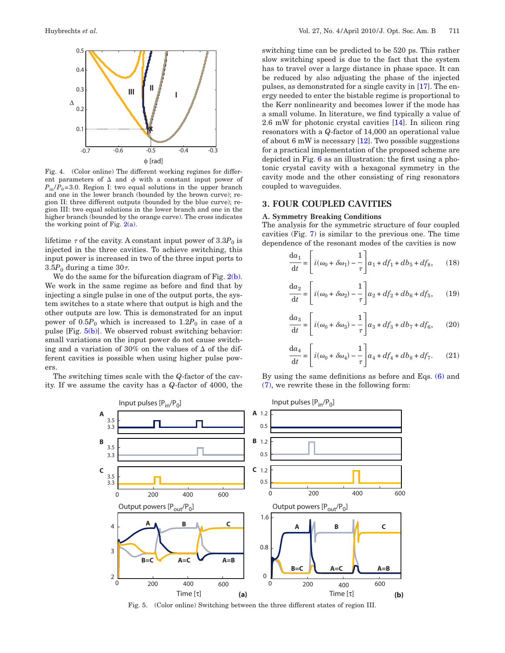<span id="page-3-0"></span>

Fig. 4. (Color online) The different working regimes for different parameters of  $\Delta$  and  $\phi$  with a constant input power of  $P_{in}/P_0=3.0$ . Region I: two equal solutions in the upper branch and one in the lower branch (bounded by the brown curve); region II: three different outputs (bounded by the blue curve); region III: two equal solutions in the lower branch and one in the higher branch (bounded by the orange curve). The cross indicates the working point of Fig.  $2(a)$ .

lifetime  $\tau$  of the cavity. A constant input power of  $3.3P_0$  is injected in the three cavities. To achieve switching, this input power is increased in two of the three input ports to  $3.5P_0$  during a time  $30\tau$ .

We do the same for the bifurcation diagram of Fig. [2\(b\).](#page-2-0) We work in the same regime as before and find that by injecting a single pulse in one of the output ports, the system switches to a state where that output is high and the other outputs are low. This is demonstrated for an input power of  $0.5P_0$  which is increased to  $1.2P_0$  in case of a pulse  $[Fig. 5(b)]$  $[Fig. 5(b)]$ . We observed robust switching behavior: small variations on the input power do not cause switching and a variation of 30% on the values of  $\Delta$  of the different cavities is possible when using higher pulse powers.

<span id="page-3-1"></span>The switching times scale with the *Q*-factor of the cavity. If we assume the cavity has a *Q*-factor of 4000, the switching time can be predicted to be 520 ps. This rather slow switching speed is due to the fact that the system has to travel over a large distance in phase space. It can be reduced by also adjusting the phase of the injected pulses, as demonstrated for a single cavity in [\[17\]](#page-5-15). The energy needed to enter the bistable regime is proportional to the Kerr nonlinearity and becomes lower if the mode has a small volume. In literature, we find typically a value of 2.6 mW for photonic crystal cavities [\[14\]](#page-5-12). In silicon ring resonators with a *Q*-factor of 14,000 an operational value of about 6 mW is necessary  $[12]$ . Two possible suggestions for a practical implementation of the proposed scheme are depicted in Fig. [6](#page-4-0) as an illustration: the first using a photonic crystal cavity with a hexagonal symmetry in the cavity mode and the other consisting of ring resonators coupled to waveguides.

## **3. FOUR COUPLED CAVITIES**

## **A. Symmetry Breaking Conditions**

The analysis for the symmetric structure of four coupled cavities (Fig. [7\)](#page-4-1) is similar to the previous one. The time dependence of the resonant modes of the cavities is now

$$
\frac{da_1}{dt} = \left[ i(\omega_0 + \delta \omega_1) - \frac{1}{\tau} \right] a_1 + df_1 + db_5 + df_8, \quad (18)
$$

$$
\frac{da_2}{dt} = \left[ i(\omega_0 + \delta \omega_2) - \frac{1}{\tau} \right] a_2 + df_2 + db_6 + df_5, \quad (19)
$$

$$
\frac{\mathrm{d}a_3}{\mathrm{d}t} = \left[ i(\omega_0 + \delta\omega_3) - \frac{1}{\tau} \right] a_3 + df_3 + db_7 + df_6, \qquad (20)
$$

$$
\frac{da_4}{dt} = \left[ i(\omega_0 + \delta \omega_4) - \frac{1}{\tau} \right] a_4 + df_4 + db_8 + df_7. \tag{21}
$$

By using the same definitions as before and Eqs. [\(6\)](#page-1-3) and [\(7\),](#page-1-4) we rewrite these in the following form:



Fig. 5. (Color online) Switching between the three different states of region III.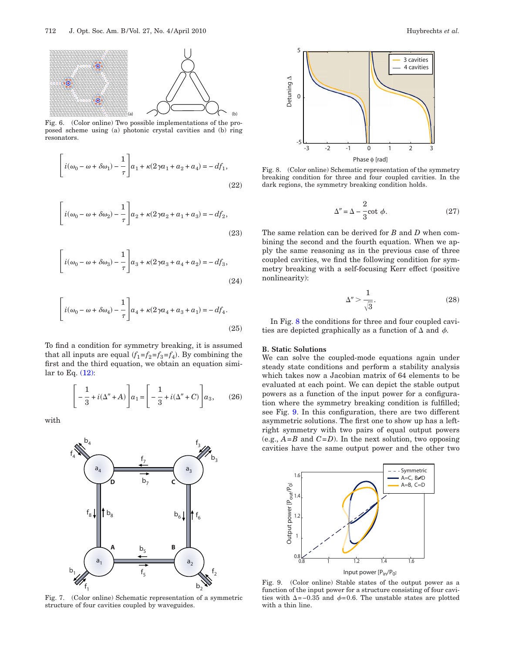<span id="page-4-0"></span>

Fig. 6. (Color online) Two possible implementations of the proposed scheme using (a) photonic crystal cavities and (b) ring resonators.

$$
\left[i(\omega_0 - \omega + \delta \omega_1) - \frac{1}{\tau}\right]a_1 + \kappa(2\gamma a_1 + a_2 + a_4) = -df_1,
$$
\n(22)

$$
\left[i(\omega_0 - \omega + \delta \omega_2) - \frac{1}{\tau}\right] a_2 + \kappa (2\gamma a_2 + a_1 + a_3) = -df_2,
$$
\n(23)

$$
\left[i(\omega_0 - \omega + \delta\omega_3) - \frac{1}{\tau}\right]a_3 + \kappa(2\gamma a_3 + a_4 + a_2) = -df_3,
$$
\n(24)

$$
\left[i(\omega_0 - \omega + \delta \omega_4) - \frac{1}{\tau}\right] a_4 + \kappa (2\gamma a_4 + a_3 + a_1) = -df_4.
$$
\n(25)

To find a condition for symmetry breaking, it is assumed that all inputs are equal  $(f_1 = f_2 = f_3 = f_4)$ . By combining the first and the third equation, we obtain an equation similar to Eq.  $(12)$ :

$$
\[ -\frac{1}{3} + i(\Delta'' + A) \] a_1 = \left[ -\frac{1}{3} + i(\Delta'' + C) \right] a_3, \qquad (26)
$$

<span id="page-4-1"></span>with



Fig. 7. (Color online) Schematic representation of a symmetric structure of four cavities coupled by waveguides.

<span id="page-4-2"></span>

Fig. 8. (Color online) Schematic representation of the symmetry breaking condition for three and four coupled cavities. In the dark regions, the symmetry breaking condition holds.

$$
\Delta'' = \Delta - \frac{2}{3} \cot \phi. \tag{27}
$$

The same relation can be derived for *B* and *D* when combining the second and the fourth equation. When we apply the same reasoning as in the previous case of three coupled cavities, we find the following condition for symmetry breaking with a self-focusing Kerr effect (positive nonlinearity):

$$
\Delta'' > \frac{1}{\sqrt{3}}.\tag{28}
$$

In Fig. [8](#page-4-2) the conditions for three and four coupled cavities are depicted graphically as a function of  $\Delta$  and  $\phi$ .

## **B. Static Solutions**

We can solve the coupled-mode equations again under steady state conditions and perform a stability analysis which takes now a Jacobian matrix of 64 elements to be evaluated at each point. We can depict the stable output powers as a function of the input power for a configuration where the symmetry breaking condition is fulfilled; see Fig. [9.](#page-4-3) In this configuration, there are two different asymmetric solutions. The first one to show up has a leftright symmetry with two pairs of equal output powers (e.g.,  $A = B$  and  $C = D$ ). In the next solution, two opposing cavities have the same output power and the other two

<span id="page-4-3"></span>

Fig. 9. (Color online) Stable states of the output power as a function of the input power for a structure consisting of four cavities with  $\Delta$ =−0.35 and  $\phi$ =0.6. The unstable states are plotted with a thin line.